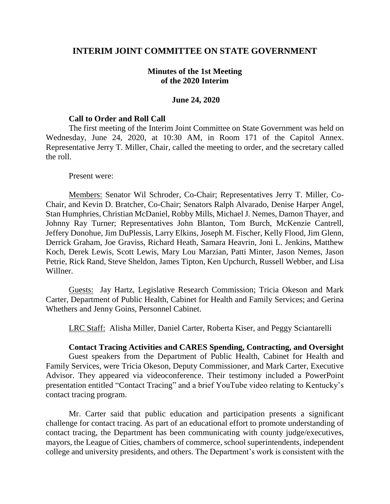# **INTERIM JOINT COMMITTEE ON STATE GOVERNMENT**

# **Minutes of the 1st Meeting of the 2020 Interim**

## **June 24, 2020**

### **Call to Order and Roll Call**

The first meeting of the Interim Joint Committee on State Government was held on Wednesday, June 24, 2020, at 10:30 AM, in Room 171 of the Capitol Annex. Representative Jerry T. Miller, Chair, called the meeting to order, and the secretary called the roll.

#### Present were:

Members: Senator Wil Schroder, Co-Chair; Representatives Jerry T. Miller, Co-Chair, and Kevin D. Bratcher, Co-Chair; Senators Ralph Alvarado, Denise Harper Angel, Stan Humphries, Christian McDaniel, Robby Mills, Michael J. Nemes, Damon Thayer, and Johnny Ray Turner; Representatives John Blanton, Tom Burch, McKenzie Cantrell, Jeffery Donohue, Jim DuPlessis, Larry Elkins, Joseph M. Fischer, Kelly Flood, Jim Glenn, Derrick Graham, Joe Graviss, Richard Heath, Samara Heavrin, Joni L. Jenkins, Matthew Koch, Derek Lewis, Scott Lewis, Mary Lou Marzian, Patti Minter, Jason Nemes, Jason Petrie, Rick Rand, Steve Sheldon, James Tipton, Ken Upchurch, Russell Webber, and Lisa Willner.

Guests: Jay Hartz, Legislative Research Commission; Tricia Okeson and Mark Carter, Department of Public Health, Cabinet for Health and Family Services; and Gerina Whethers and Jenny Goins, Personnel Cabinet.

LRC Staff: Alisha Miller, Daniel Carter, Roberta Kiser, and Peggy Sciantarelli

### **Contact Tracing Activities and CARES Spending, Contracting, and Oversight**

Guest speakers from the Department of Public Health, Cabinet for Health and Family Services, were Tricia Okeson, Deputy Commissioner, and Mark Carter, Executive Advisor. They appeared via videoconference. Their testimony included a PowerPoint presentation entitled "Contact Tracing" and a brief YouTube video relating to Kentucky's contact tracing program.

Mr. Carter said that public education and participation presents a significant challenge for contact tracing. As part of an educational effort to promote understanding of contact tracing, the Department has been communicating with county judge/executives, mayors, the League of Cities, chambers of commerce, school superintendents, independent college and university presidents, and others. The Department's work is consistent with the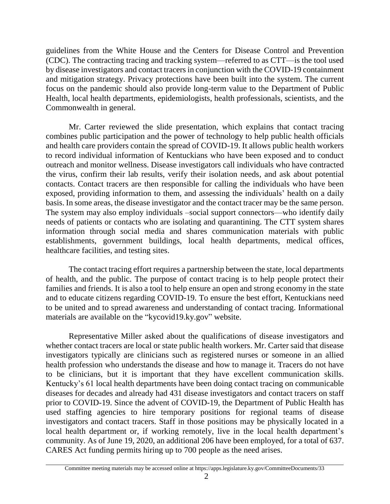guidelines from the White House and the Centers for Disease Control and Prevention (CDC). The contracting tracing and tracking system—referred to as CTT—is the tool used by disease investigators and contact tracers in conjunction with the COVID-19 containment and mitigation strategy. Privacy protections have been built into the system. The current focus on the pandemic should also provide long-term value to the Department of Public Health, local health departments, epidemiologists, health professionals, scientists, and the Commonwealth in general.

Mr. Carter reviewed the slide presentation, which explains that contact tracing combines public participation and the power of technology to help public health officials and health care providers contain the spread of COVID-19. It allows public health workers to record individual information of Kentuckians who have been exposed and to conduct outreach and monitor wellness. Disease investigators call individuals who have contracted the virus, confirm their lab results, verify their isolation needs, and ask about potential contacts. Contact tracers are then responsible for calling the individuals who have been exposed, providing information to them, and assessing the individuals' health on a daily basis. In some areas, the disease investigator and the contact tracer may be the same person. The system may also employ individuals –social support connectors—who identify daily needs of patients or contacts who are isolating and quarantining. The CTT system shares information through social media and shares communication materials with public establishments, government buildings, local health departments, medical offices, healthcare facilities, and testing sites.

The contact tracing effort requires a partnership between the state, local departments of health, and the public. The purpose of contact tracing is to help people protect their families and friends. It is also a tool to help ensure an open and strong economy in the state and to educate citizens regarding COVID-19. To ensure the best effort, Kentuckians need to be united and to spread awareness and understanding of contact tracing. Informational materials are available on the "kycovid19.ky.gov" website.

Representative Miller asked about the qualifications of disease investigators and whether contact tracers are local or state public health workers. Mr. Carter said that disease investigators typically are clinicians such as registered nurses or someone in an allied health profession who understands the disease and how to manage it. Tracers do not have to be clinicians, but it is important that they have excellent communication skills. Kentucky's 61 local health departments have been doing contact tracing on communicable diseases for decades and already had 431 disease investigators and contact tracers on staff prior to COVID-19. Since the advent of COVID-19, the Department of Public Health has used staffing agencies to hire temporary positions for regional teams of disease investigators and contact tracers. Staff in those positions may be physically located in a local health department or, if working remotely, live in the local health department's community. As of June 19, 2020, an additional 206 have been employed, for a total of 637. CARES Act funding permits hiring up to 700 people as the need arises.

Committee meeting materials may be accessed online at https://apps.legislature.ky.gov/CommitteeDocuments/33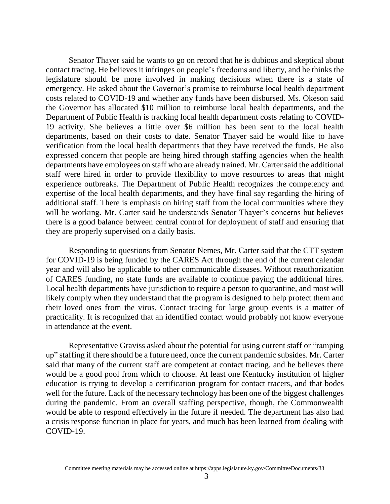Senator Thayer said he wants to go on record that he is dubious and skeptical about contact tracing. He believes it infringes on people's freedoms and liberty, and he thinks the legislature should be more involved in making decisions when there is a state of emergency. He asked about the Governor's promise to reimburse local health department costs related to COVID-19 and whether any funds have been disbursed. Ms. Okeson said the Governor has allocated \$10 million to reimburse local health departments, and the Department of Public Health is tracking local health department costs relating to COVID-19 activity. She believes a little over \$6 million has been sent to the local health departments, based on their costs to date. Senator Thayer said he would like to have verification from the local health departments that they have received the funds. He also expressed concern that people are being hired through staffing agencies when the health departments have employees on staff who are already trained. Mr. Carter said the additional staff were hired in order to provide flexibility to move resources to areas that might experience outbreaks. The Department of Public Health recognizes the competency and expertise of the local health departments, and they have final say regarding the hiring of additional staff. There is emphasis on hiring staff from the local communities where they will be working. Mr. Carter said he understands Senator Thayer's concerns but believes there is a good balance between central control for deployment of staff and ensuring that they are properly supervised on a daily basis.

Responding to questions from Senator Nemes, Mr. Carter said that the CTT system for COVID-19 is being funded by the CARES Act through the end of the current calendar year and will also be applicable to other communicable diseases. Without reauthorization of CARES funding, no state funds are available to continue paying the additional hires. Local health departments have jurisdiction to require a person to quarantine, and most will likely comply when they understand that the program is designed to help protect them and their loved ones from the virus. Contact tracing for large group events is a matter of practicality. It is recognized that an identified contact would probably not know everyone in attendance at the event.

Representative Graviss asked about the potential for using current staff or "ramping up" staffing if there should be a future need, once the current pandemic subsides. Mr. Carter said that many of the current staff are competent at contact tracing, and he believes there would be a good pool from which to choose. At least one Kentucky institution of higher education is trying to develop a certification program for contact tracers, and that bodes well for the future. Lack of the necessary technology has been one of the biggest challenges during the pandemic. From an overall staffing perspective, though, the Commonwealth would be able to respond effectively in the future if needed. The department has also had a crisis response function in place for years, and much has been learned from dealing with COVID-19.

Committee meeting materials may be accessed online at https://apps.legislature.ky.gov/CommitteeDocuments/33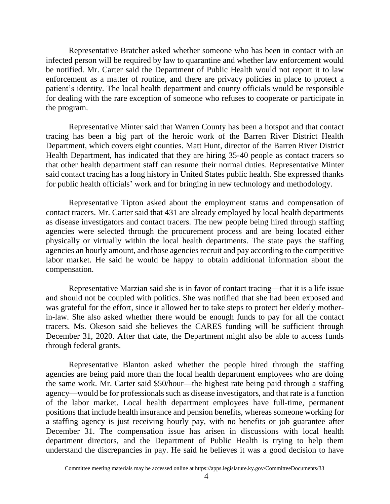Representative Bratcher asked whether someone who has been in contact with an infected person will be required by law to quarantine and whether law enforcement would be notified. Mr. Carter said the Department of Public Health would not report it to law enforcement as a matter of routine, and there are privacy policies in place to protect a patient's identity. The local health department and county officials would be responsible for dealing with the rare exception of someone who refuses to cooperate or participate in the program.

Representative Minter said that Warren County has been a hotspot and that contact tracing has been a big part of the heroic work of the Barren River District Health Department, which covers eight counties. Matt Hunt, director of the Barren River District Health Department, has indicated that they are hiring 35-40 people as contact tracers so that other health department staff can resume their normal duties. Representative Minter said contact tracing has a long history in United States public health. She expressed thanks for public health officials' work and for bringing in new technology and methodology.

Representative Tipton asked about the employment status and compensation of contact tracers. Mr. Carter said that 431 are already employed by local health departments as disease investigators and contact tracers. The new people being hired through staffing agencies were selected through the procurement process and are being located either physically or virtually within the local health departments. The state pays the staffing agencies an hourly amount, and those agencies recruit and pay according to the competitive labor market. He said he would be happy to obtain additional information about the compensation.

Representative Marzian said she is in favor of contact tracing—that it is a life issue and should not be coupled with politics. She was notified that she had been exposed and was grateful for the effort, since it allowed her to take steps to protect her elderly motherin-law. She also asked whether there would be enough funds to pay for all the contact tracers. Ms. Okeson said she believes the CARES funding will be sufficient through December 31, 2020. After that date, the Department might also be able to access funds through federal grants.

Representative Blanton asked whether the people hired through the staffing agencies are being paid more than the local health department employees who are doing the same work. Mr. Carter said \$50/hour—the highest rate being paid through a staffing agency—would be for professionals such as disease investigators, and that rate is a function of the labor market. Local health department employees have full-time, permanent positions that include health insurance and pension benefits, whereas someone working for a staffing agency is just receiving hourly pay, with no benefits or job guarantee after December 31. The compensation issue has arisen in discussions with local health department directors, and the Department of Public Health is trying to help them understand the discrepancies in pay. He said he believes it was a good decision to have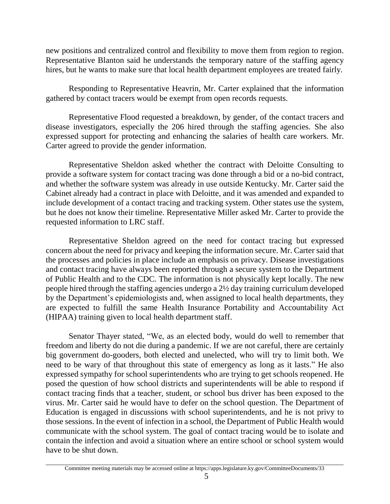new positions and centralized control and flexibility to move them from region to region. Representative Blanton said he understands the temporary nature of the staffing agency hires, but he wants to make sure that local health department employees are treated fairly.

Responding to Representative Heavrin, Mr. Carter explained that the information gathered by contact tracers would be exempt from open records requests.

Representative Flood requested a breakdown, by gender, of the contact tracers and disease investigators, especially the 206 hired through the staffing agencies. She also expressed support for protecting and enhancing the salaries of health care workers. Mr. Carter agreed to provide the gender information.

Representative Sheldon asked whether the contract with Deloitte Consulting to provide a software system for contact tracing was done through a bid or a no-bid contract, and whether the software system was already in use outside Kentucky. Mr. Carter said the Cabinet already had a contract in place with Deloitte, and it was amended and expanded to include development of a contact tracing and tracking system. Other states use the system, but he does not know their timeline. Representative Miller asked Mr. Carter to provide the requested information to LRC staff.

Representative Sheldon agreed on the need for contact tracing but expressed concern about the need for privacy and keeping the information secure. Mr. Carter said that the processes and policies in place include an emphasis on privacy. Disease investigations and contact tracing have always been reported through a secure system to the Department of Public Health and to the CDC. The information is not physically kept locally. The new people hired through the staffing agencies undergo a 2½ day training curriculum developed by the Department's epidemiologists and, when assigned to local health departments, they are expected to fulfill the same Health Insurance Portability and Accountability Act (HIPAA) training given to local health department staff.

Senator Thayer stated, "We, as an elected body, would do well to remember that freedom and liberty do not die during a pandemic. If we are not careful, there are certainly big government do-gooders, both elected and unelected, who will try to limit both. We need to be wary of that throughout this state of emergency as long as it lasts." He also expressed sympathy for school superintendents who are trying to get schools reopened. He posed the question of how school districts and superintendents will be able to respond if contact tracing finds that a teacher, student, or school bus driver has been exposed to the virus. Mr. Carter said he would have to defer on the school question. The Department of Education is engaged in discussions with school superintendents, and he is not privy to those sessions. In the event of infection in a school, the Department of Public Health would communicate with the school system. The goal of contact tracing would be to isolate and contain the infection and avoid a situation where an entire school or school system would have to be shut down.

Committee meeting materials may be accessed online at https://apps.legislature.ky.gov/CommitteeDocuments/33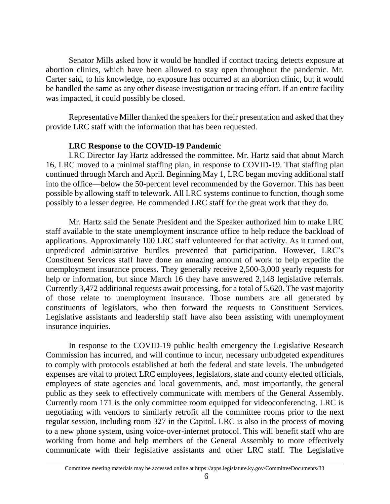Senator Mills asked how it would be handled if contact tracing detects exposure at abortion clinics, which have been allowed to stay open throughout the pandemic. Mr. Carter said, to his knowledge, no exposure has occurred at an abortion clinic, but it would be handled the same as any other disease investigation or tracing effort. If an entire facility was impacted, it could possibly be closed.

Representative Miller thanked the speakers for their presentation and asked that they provide LRC staff with the information that has been requested.

# **LRC Response to the COVID-19 Pandemic**

LRC Director Jay Hartz addressed the committee. Mr. Hartz said that about March 16, LRC moved to a minimal staffing plan, in response to COVID-19. That staffing plan continued through March and April. Beginning May 1, LRC began moving additional staff into the office—below the 50-percent level recommended by the Governor. This has been possible by allowing staff to telework. All LRC systems continue to function, though some possibly to a lesser degree. He commended LRC staff for the great work that they do.

Mr. Hartz said the Senate President and the Speaker authorized him to make LRC staff available to the state unemployment insurance office to help reduce the backload of applications. Approximately 100 LRC staff volunteered for that activity. As it turned out, unpredicted administrative hurdles prevented that participation. However, LRC's Constituent Services staff have done an amazing amount of work to help expedite the unemployment insurance process. They generally receive 2,500-3,000 yearly requests for help or information, but since March 16 they have answered 2,148 legislative referrals. Currently 3,472 additional requests await processing, for a total of 5,620. The vast majority of those relate to unemployment insurance. Those numbers are all generated by constituents of legislators, who then forward the requests to Constituent Services. Legislative assistants and leadership staff have also been assisting with unemployment insurance inquiries.

In response to the COVID-19 public health emergency the Legislative Research Commission has incurred, and will continue to incur, necessary unbudgeted expenditures to comply with protocols established at both the federal and state levels. The unbudgeted expenses are vital to protect LRC employees, legislators, state and county elected officials, employees of state agencies and local governments, and, most importantly, the general public as they seek to effectively communicate with members of the General Assembly. Currently room 171 is the only committee room equipped for videoconferencing. LRC is negotiating with vendors to similarly retrofit all the committee rooms prior to the next regular session, including room 327 in the Capitol. LRC is also in the process of moving to a new phone system, using voice-over-internet protocol. This will benefit staff who are working from home and help members of the General Assembly to more effectively communicate with their legislative assistants and other LRC staff. The Legislative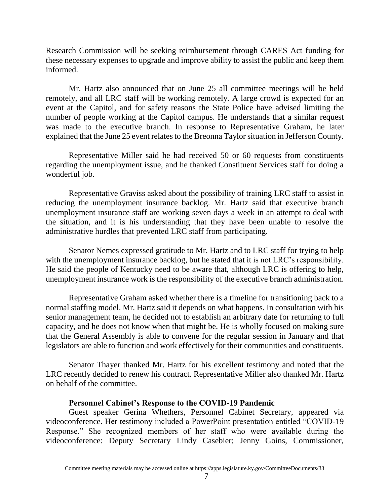Research Commission will be seeking reimbursement through CARES Act funding for these necessary expenses to upgrade and improve ability to assist the public and keep them informed.

Mr. Hartz also announced that on June 25 all committee meetings will be held remotely, and all LRC staff will be working remotely. A large crowd is expected for an event at the Capitol, and for safety reasons the State Police have advised limiting the number of people working at the Capitol campus. He understands that a similar request was made to the executive branch. In response to Representative Graham, he later explained that the June 25 event relates to the Breonna Taylor situation in Jefferson County.

Representative Miller said he had received 50 or 60 requests from constituents regarding the unemployment issue, and he thanked Constituent Services staff for doing a wonderful job.

Representative Graviss asked about the possibility of training LRC staff to assist in reducing the unemployment insurance backlog. Mr. Hartz said that executive branch unemployment insurance staff are working seven days a week in an attempt to deal with the situation, and it is his understanding that they have been unable to resolve the administrative hurdles that prevented LRC staff from participating.

Senator Nemes expressed gratitude to Mr. Hartz and to LRC staff for trying to help with the unemployment insurance backlog, but he stated that it is not LRC's responsibility. He said the people of Kentucky need to be aware that, although LRC is offering to help, unemployment insurance work is the responsibility of the executive branch administration.

Representative Graham asked whether there is a timeline for transitioning back to a normal staffing model. Mr. Hartz said it depends on what happens. In consultation with his senior management team, he decided not to establish an arbitrary date for returning to full capacity, and he does not know when that might be. He is wholly focused on making sure that the General Assembly is able to convene for the regular session in January and that legislators are able to function and work effectively for their communities and constituents.

Senator Thayer thanked Mr. Hartz for his excellent testimony and noted that the LRC recently decided to renew his contract. Representative Miller also thanked Mr. Hartz on behalf of the committee.

# **Personnel Cabinet's Response to the COVID-19 Pandemic**

Guest speaker Gerina Whethers, Personnel Cabinet Secretary, appeared via videoconference. Her testimony included a PowerPoint presentation entitled "COVID-19 Response." She recognized members of her staff who were available during the videoconference: Deputy Secretary Lindy Casebier; Jenny Goins, Commissioner,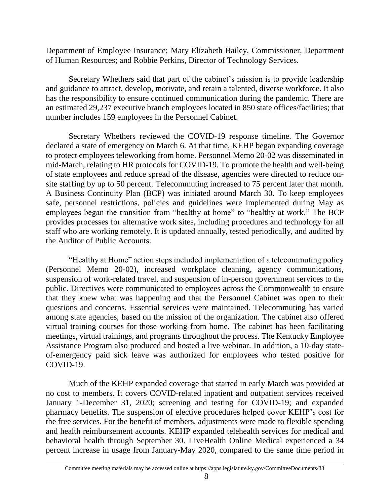Department of Employee Insurance; Mary Elizabeth Bailey, Commissioner, Department of Human Resources; and Robbie Perkins, Director of Technology Services.

Secretary Whethers said that part of the cabinet's mission is to provide leadership and guidance to attract, develop, motivate, and retain a talented, diverse workforce. It also has the responsibility to ensure continued communication during the pandemic. There are an estimated 29,237 executive branch employees located in 850 state offices/facilities; that number includes 159 employees in the Personnel Cabinet.

Secretary Whethers reviewed the COVID-19 response timeline. The Governor declared a state of emergency on March 6. At that time, KEHP began expanding coverage to protect employees teleworking from home. Personnel Memo 20-02 was disseminated in mid-March, relating to HR protocols for COVID-19. To promote the health and well-being of state employees and reduce spread of the disease, agencies were directed to reduce onsite staffing by up to 50 percent. Telecommuting increased to 75 percent later that month. A Business Continuity Plan (BCP) was initiated around March 30. To keep employees safe, personnel restrictions, policies and guidelines were implemented during May as employees began the transition from "healthy at home" to "healthy at work." The BCP provides processes for alternative work sites, including procedures and technology for all staff who are working remotely. It is updated annually, tested periodically, and audited by the Auditor of Public Accounts.

"Healthy at Home" action steps included implementation of a telecommuting policy (Personnel Memo 20-02), increased workplace cleaning, agency communications, suspension of work-related travel, and suspension of in-person government services to the public. Directives were communicated to employees across the Commonwealth to ensure that they knew what was happening and that the Personnel Cabinet was open to their questions and concerns. Essential services were maintained. Telecommuting has varied among state agencies, based on the mission of the organization. The cabinet also offered virtual training courses for those working from home. The cabinet has been facilitating meetings, virtual trainings, and programs throughout the process. The Kentucky Employee Assistance Program also produced and hosted a live webinar. In addition, a 10-day stateof-emergency paid sick leave was authorized for employees who tested positive for COVID-19.

Much of the KEHP expanded coverage that started in early March was provided at no cost to members. It covers COVID-related inpatient and outpatient services received January 1-December 31, 2020; screening and testing for COVID-19; and expanded pharmacy benefits. The suspension of elective procedures helped cover KEHP's cost for the free services. For the benefit of members, adjustments were made to flexible spending and health reimbursement accounts. KEHP expanded telehealth services for medical and behavioral health through September 30. LiveHealth Online Medical experienced a 34 percent increase in usage from January-May 2020, compared to the same time period in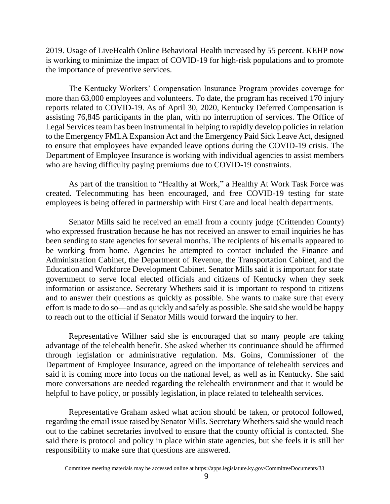2019. Usage of LiveHealth Online Behavioral Health increased by 55 percent. KEHP now is working to minimize the impact of COVID-19 for high-risk populations and to promote the importance of preventive services.

The Kentucky Workers' Compensation Insurance Program provides coverage for more than 63,000 employees and volunteers. To date, the program has received 170 injury reports related to COVID-19. As of April 30, 2020, Kentucky Deferred Compensation is assisting 76,845 participants in the plan, with no interruption of services. The Office of Legal Services team has been instrumental in helping to rapidly develop policies in relation to the Emergency FMLA Expansion Act and the Emergency Paid Sick Leave Act, designed to ensure that employees have expanded leave options during the COVID-19 crisis. The Department of Employee Insurance is working with individual agencies to assist members who are having difficulty paying premiums due to COVID-19 constraints.

As part of the transition to "Healthy at Work," a Healthy At Work Task Force was created. Telecommuting has been encouraged, and free COVID-19 testing for state employees is being offered in partnership with First Care and local health departments.

Senator Mills said he received an email from a county judge (Crittenden County) who expressed frustration because he has not received an answer to email inquiries he has been sending to state agencies for several months. The recipients of his emails appeared to be working from home. Agencies he attempted to contact included the Finance and Administration Cabinet, the Department of Revenue, the Transportation Cabinet, and the Education and Workforce Development Cabinet. Senator Mills said it is important for state government to serve local elected officials and citizens of Kentucky when they seek information or assistance. Secretary Whethers said it is important to respond to citizens and to answer their questions as quickly as possible. She wants to make sure that every effort is made to do so—and as quickly and safely as possible. She said she would be happy to reach out to the official if Senator Mills would forward the inquiry to her.

Representative Willner said she is encouraged that so many people are taking advantage of the telehealth benefit. She asked whether its continuance should be affirmed through legislation or administrative regulation. Ms. Goins, Commissioner of the Department of Employee Insurance, agreed on the importance of telehealth services and said it is coming more into focus on the national level, as well as in Kentucky. She said more conversations are needed regarding the telehealth environment and that it would be helpful to have policy, or possibly legislation, in place related to telehealth services.

Representative Graham asked what action should be taken, or protocol followed, regarding the email issue raised by Senator Mills. Secretary Whethers said she would reach out to the cabinet secretaries involved to ensure that the county official is contacted. She said there is protocol and policy in place within state agencies, but she feels it is still her responsibility to make sure that questions are answered.